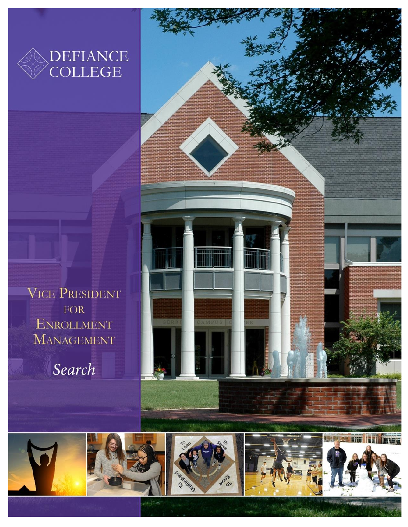

**VICE PRESIDENT** FOR **ENROLLMENT MANAGEMENT** 

Search





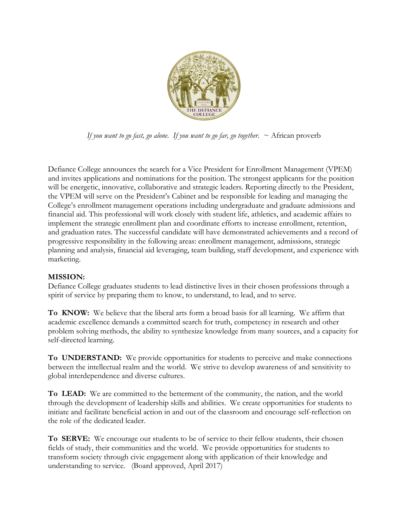

*If you want to go fast, go alone. If you want to go far, go together.*  $\sim$  African proverb

Defiance College announces the search for a Vice President for Enrollment Management (VPEM) and invites applications and nominations for the position. The strongest applicants for the position will be energetic, innovative, collaborative and strategic leaders. Reporting directly to the President, the VPEM will serve on the President's Cabinet and be responsible for leading and managing the College's enrollment management operations including undergraduate and graduate admissions and financial aid. This professional will work closely with student life, athletics, and academic affairs to implement the strategic enrollment plan and coordinate efforts to increase enrollment, retention, and graduation rates. The successful candidate will have demonstrated achievements and a record of progressive responsibility in the following areas: enrollment management, admissions, strategic planning and analysis, financial aid leveraging, team building, staff development, and experience with marketing.

## **MISSION:**

Defiance College graduates students to lead distinctive lives in their chosen professions through a spirit of service by preparing them to know, to understand, to lead, and to serve.

**To KNOW:** We believe that the liberal arts form a broad basis for all learning. We affirm that academic excellence demands a committed search for truth, competency in research and other problem solving methods, the ability to synthesize knowledge from many sources, and a capacity for self-directed learning.

**To UNDERSTAND:** We provide opportunities for students to perceive and make connections between the intellectual realm and the world. We strive to develop awareness of and sensitivity to global interdependence and diverse cultures.

**To LEAD:** We are committed to the betterment of the community, the nation, and the world through the development of leadership skills and abilities. We create opportunities for students to initiate and facilitate beneficial action in and out of the classroom and encourage self-reflection on the role of the dedicated leader.

**To SERVE:** We encourage our students to be of service to their fellow students, their chosen fields of study, their communities and the world. We provide opportunities for students to transform society through civic engagement along with application of their knowledge and understanding to service. (Board approved, April 2017)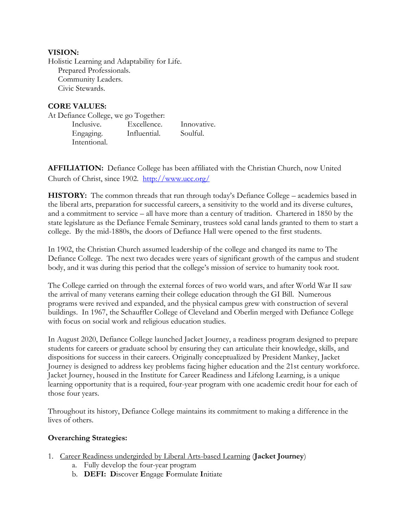## **VISION:**

Holistic Learning and Adaptability for Life. Prepared Professionals. Community Leaders. Civic Stewards.

## **CORE VALUES:**

At Defiance College, we go Together: Inclusive. Excellence. Innovative. Engaging. Influential. Soulful. Intentional.

**AFFILIATION:** Defiance College has been affiliated with the Christian Church, now United Church of Christ, since 1902. <http://www.ucc.org/>

HISTORY: The common threads that run through today's Defiance College – academics based in the liberal arts, preparation for successful careers, a sensitivity to the world and its diverse cultures, and a commitment to service – all have more than a century of tradition. Chartered in 1850 by the state legislature as the Defiance Female Seminary, trustees sold canal lands granted to them to start a college. By the mid-1880s, the doors of Defiance Hall were opened to the first students.

In 1902, the Christian Church assumed leadership of the college and changed its name to The Defiance College. The next two decades were years of significant growth of the campus and student body, and it was during this period that the college's mission of service to humanity took root.

The College carried on through the external forces of two world wars, and after World War II saw the arrival of many veterans earning their college education through the GI Bill. Numerous programs were revived and expanded, and the physical campus grew with construction of several buildings. In 1967, the Schauffler College of Cleveland and Oberlin merged with Defiance College with focus on social work and religious education studies.

In August 2020, Defiance College launched Jacket Journey, a readiness program designed to prepare students for careers or graduate school by ensuring they can articulate their knowledge, skills, and dispositions for success in their careers. Originally conceptualized by President Mankey, Jacket Journey is designed to address key problems facing higher education and the 21st century workforce. Jacket Journey, housed in the Institute for Career Readiness and Lifelong Learning, is a unique learning opportunity that is a required, four-year program with one academic credit hour for each of those four years.

Throughout its history, Defiance College maintains its commitment to making a difference in the lives of others.

## **Overarching Strategies:**

- 1. Career Readiness undergirded by Liberal Arts-based Learning (**Jacket Journey**)
	- a. Fully develop the four-year program
	- b. **DEFI: D**iscover **E**ngage **F**ormulate **I**nitiate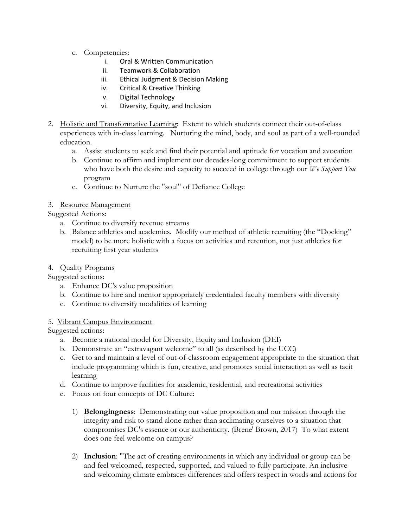- c. Competencies:
	- i. Oral & Written Communication
	- ii. Teamwork & Collaboration
	- iii. Ethical Judgment & Decision Making
	- iv. Critical & Creative Thinking
	- v. Digital Technology
	- vi. Diversity, Equity, and Inclusion
- 2. Holistic and Transformative Learning: Extent to which students connect their out-of-class experiences with in-class learning. Nurturing the mind, body, and soul as part of a well-rounded education.
	- a. Assist students to seek and find their potential and aptitude for vocation and avocation
	- b. Continue to affirm and implement our decades-long commitment to support students who have both the desire and capacity to succeed in college through our *We Support You* program
	- c. Continue to Nurture the "soul" of Defiance College
- 3. Resource Management

Suggested Actions:

- a. Continue to diversify revenue streams
- b. Balance athletics and academics. Modify our method of athletic recruiting (the "Docking" model) to be more holistic with a focus on activities and retention, not just athletics for recruiting first year students

# 4. Quality Programs

Suggested actions:

- a. Enhance DC's value proposition
- b. Continue to hire and mentor appropriately credentialed faculty members with diversity
- c. Continue to diversify modalities of learning

## 5. Vibrant Campus Environment

Suggested actions:

- a. Become a national model for Diversity, Equity and Inclusion (DEI)
- b. Demonstrate an "extravagant welcome" to all (as described by the UCC)
- c. Get to and maintain a level of out-of-classroom engagement appropriate to the situation that include programming which is fun, creative, and promotes social interaction as well as tacit learning
- d. Continue to improve facilities for academic, residential, and recreational activities
- e. Focus on four concepts of DC Culture:
	- 1) **Belongingness**: Demonstrating our value proposition and our mission through the integrity and risk to stand alone rather than acclimating ourselves to a situation that compromises DC's essence or our authenticity. (Brene' Brown, 2017) To what extent does one feel welcome on campus?
	- 2) **Inclusion**: "The act of creating environments in which any individual or group can be and feel welcomed, respected, supported, and valued to fully participate. An inclusive and welcoming climate embraces differences and offers respect in words and actions for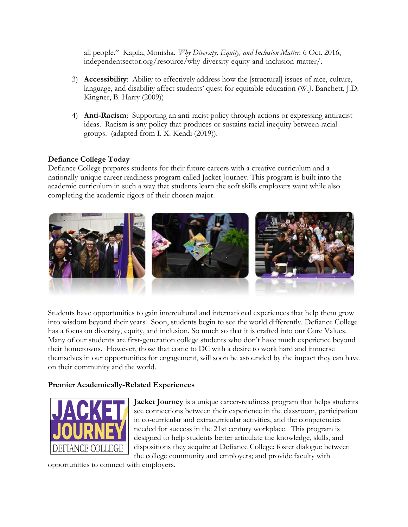all people." Kapila, Monisha*. Why Diversity, Equity, and Inclusion Matter.* 6 Oct. 2016, independentsector.org/resource/why-diversity-equity-and-inclusion-matter/.

- 3) **Accessibility**: Ability to effectively address how the [structural] issues of race, culture, language, and disability affect students' quest for equitable education (W.J. Banchett, J.D. Kingner, B. Harry (2009))
- 4) **Anti-Racism**: Supporting an anti-racist policy through actions or expressing antiracist ideas. Racism is any policy that produces or sustains racial inequity between racial groups. (adapted from I. X. Kendi (2019)).

## **Defiance College Today**

Defiance College prepares students for their future careers with a creative curriculum and a nationally-unique career readiness program called Jacket Journey. This program is built into the academic curriculum in such a way that students learn the soft skills employers want while also completing the academic rigors of their chosen major.



Students have opportunities to gain intercultural and international experiences that help them grow into wisdom beyond their years. Soon, students begin to see the world differently. Defiance College has a focus on diversity, equity, and inclusion. So much so that it is crafted into our Core Values. Many of our students are first-generation college students who don't have much experience beyond their hometowns. However, those that come to DC with a desire to work hard and immerse themselves in our opportunities for engagement, will soon be astounded by the impact they can have on their community and the world.

## **Premier Academically-Related Experiences**



**Jacket Journey** is a unique career-readiness program that helps students see connections between their experience in the classroom, participation in co-curricular and extracurricular activities, and the competencies needed for success in the 21st century workplace. This program is designed to help students better articulate the knowledge, skills, and dispositions they acquire at Defiance College; foster dialogue between the college community and employers; and provide faculty with

opportunities to connect with employers.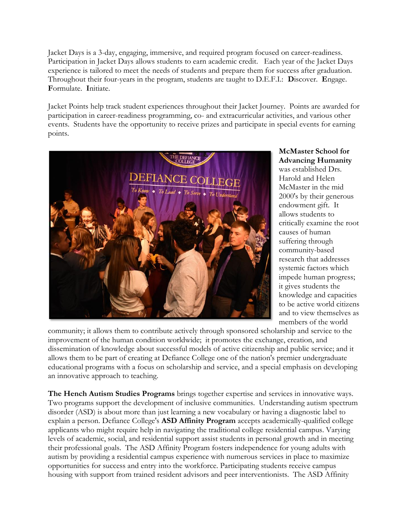Jacket Days is a 3-day, engaging, immersive, and required program focused on career-readiness. Participation in Jacket Days allows students to earn academic credit. Each year of the Jacket Days experience is tailored to meet the needs of students and prepare them for success after graduation. Throughout their four-years in the program, students are taught to D.E.F.I.: **D**iscover. **E**ngage. **F**ormulate. **I**nitiate.

Jacket Points help track student experiences throughout their Jacket Journey. Points are awarded for participation in career-readiness programming, co- and extracurricular activities, and various other events. Students have the opportunity to receive prizes and participate in special events for earning points.



**McMaster School for Advancing Humanity**  was established Drs. Harold and Helen McMaster in the mid 2000's by their generous endowment gift. It allows students to critically examine the root causes of human suffering through community-based research that addresses systemic factors which impede human progress; it gives students the knowledge and capacities to be active world citizens and to view themselves as members of the world

community; it allows them to contribute actively through sponsored scholarship and service to the improvement of the human condition worldwide; it promotes the exchange, creation, and dissemination of knowledge about successful models of active citizenship and public service; and it allows them to be part of creating at Defiance College one of the nation's premier undergraduate educational programs with a focus on scholarship and service, and a special emphasis on developing an innovative approach to teaching.

**The Hench Autism Studies Programs** brings together expertise and services in innovative ways. Two programs support the development of inclusive communities. Understanding autism spectrum disorder (ASD) is about more than just learning a new vocabulary or having a diagnostic label to explain a person. Defiance College's **ASD Affinity Program** accepts academically-qualified college applicants who might require help in navigating the traditional college residential campus. Varying levels of academic, social, and residential support assist students in personal growth and in meeting their professional goals. The ASD Affinity Program fosters independence for young adults with autism by providing a residential campus experience with numerous services in place to maximize opportunities for success and entry into the workforce. Participating students receive campus housing with support from trained resident advisors and peer interventionists. The ASD Affinity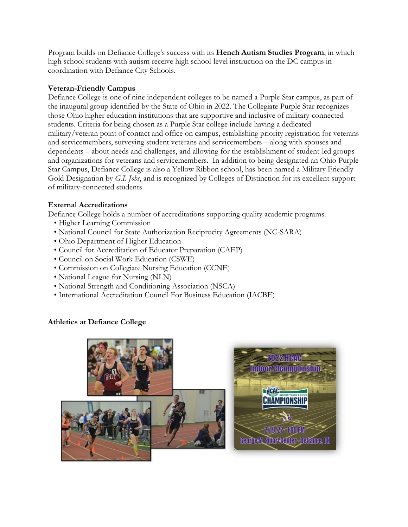Program builds on Defiance College's success with its **Hench Autism Studies Program**, in which high school students with autism receive high school-level instruction on the DC campus in coordination with Defiance City Schools.

## **Veteran-Friendly Campus**

Defiance College is one of nine independent colleges to be named a Purple Star campus, as part of the inaugural group identified by the State of Ohio in 2022. The Collegiate Purple Star recognizes those Ohio higher education institutions that are supportive and inclusive of military-connected students. Criteria for being chosen as a Purple Star college include having a dedicated military/veteran point of contact and office on campus, establishing priority registration for veterans and servicemembers, surveying student veterans and servicemembers – along with spouses and dependents – about needs and challenges, and allowing for the establishment of student-led groups and organizations for veterans and servicemembers. In addition to being designated an Ohio Purple Star Campus, Defiance College is also a Yellow Ribbon school, has been named a Military Friendly Gold Designation by *G.I. Jobs*, and is recognized by Colleges of Distinction for its excellent support of military-connected students.

# **External Accreditations**

Defiance College holds a number of accreditations supporting quality academic programs.

- Higher Learning Commission
- National Council for State Authorization Reciprocity Agreements (NC-SARA)
- Ohio Department of Higher Education
- Council for Accreditation of Educator Preparation (CAEP)
- Council on Social Work Education (CSWE)
- Commission on Collegiate Nursing Education (CCNE)
- National League for Nursing (NLN)
- National Strength and Conditioning Association (NSCA)
- International Accreditation Council For Business Education (IACBE)

# **Athletics at Defiance College**

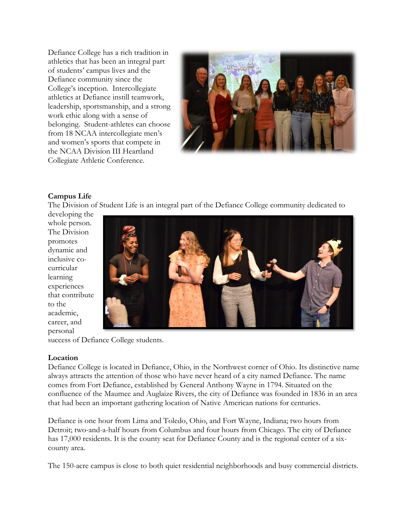Defiance College has a rich tradition in athletics that has been an integral part of students' campus lives and the Defiance community since the College's inception. Intercollegiate athletics at Defiance instill teamwork, leadership, sportsmanship, and a strong work ethic along with a sense of belonging. Student-athletes can choose from 18 NCAA intercollegiate men's and women's sports that compete in the NCAA Division III Heartland Collegiate Athletic Conference.



## **Campus Life**

The Division of Student Life is an integral part of the Defiance College community dedicated to

developing the whole person. The Division promotes dynamic and inclusive cocurricular learning experiences that contribute to the academic, career, and personal



success of Defiance College students.

#### **Location**

Defiance College is located in Defiance, Ohio, in the Northwest corner of Ohio. Its distinctive name always attracts the attention of those who have never heard of a city named Defiance. The name comes from Fort Defiance, established by General Anthony Wayne in 1794. Situated on the confluence of the Maumee and Auglaize Rivers, the city of Defiance was founded in 1836 in an area that had been an important gathering location of Native American nations for centuries.

Defiance is one hour from Lima and Toledo, Ohio, and Fort Wayne, Indiana; two hours from Detroit; two-and-a-half hours from Columbus and four hours from Chicago. The city of Defiance has 17,000 residents. It is the county seat for Defiance County and is the regional center of a sixcounty area.

The 150-acre campus is close to both quiet residential neighborhoods and busy commercial districts.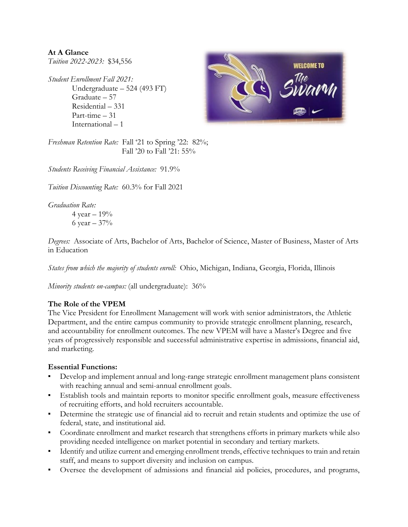**At A Glance** *Tuition 2022-2023:* \$34,556

*Student Enrollment Fall 2021:*  Undergraduate – 524 (493 FT) Graduate – 57 Residential – 331 Part-time – 31 International – 1



*Freshman Retention Rate:* Fall '21 to Spring '22: 82%; Fall '20 to Fall '21: 55%

*Students Receiving Financial Assistance:* 91.9%

*Tuition Discounting Rate:* 60.3% for Fall 2021

*Graduation Rate:* 

4 year – 19% 6 year  $-37%$ 

*Degrees:* Associate of Arts, Bachelor of Arts, Bachelor of Science, Master of Business, Master of Arts in Education

*States from which the majority of students enroll:* Ohio, Michigan, Indiana, Georgia, Florida, Illinois

*Minority students on-campus:* (all undergraduate): 36%

## **The Role of the VPEM**

The Vice President for Enrollment Management will work with senior administrators, the Athletic Department, and the entire campus community to provide strategic enrollment planning, research, and accountability for enrollment outcomes. The new VPEM will have a Master's Degree and five years of progressively responsible and successful administrative expertise in admissions, financial aid, and marketing.

## **Essential Functions:**

- Develop and implement annual and long-range strategic enrollment management plans consistent with reaching annual and semi-annual enrollment goals.
- **Establish tools and maintain reports to monitor specific enrollment goals, measure effectiveness** of recruiting efforts, and hold recruiters accountable.
- Determine the strategic use of financial aid to recruit and retain students and optimize the use of federal, state, and institutional aid.
- Coordinate enrollment and market research that strengthens efforts in primary markets while also providing needed intelligence on market potential in secondary and tertiary markets.
- **•** Identify and utilize current and emerging enrollment trends, effective techniques to train and retain staff, and means to support diversity and inclusion on campus.
- Oversee the development of admissions and financial aid policies, procedures, and programs,